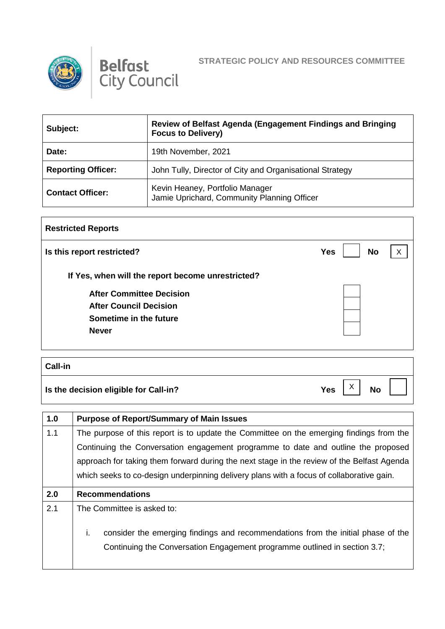



| Subject:                  | Review of Belfast Agenda (Engagement Findings and Bringing<br><b>Focus to Delivery)</b> |
|---------------------------|-----------------------------------------------------------------------------------------|
| Date:                     | 19th November, 2021                                                                     |
| <b>Reporting Officer:</b> | John Tully, Director of City and Organisational Strategy                                |
| <b>Contact Officer:</b>   | Kevin Heaney, Portfolio Manager<br>Jamie Uprichard, Community Planning Officer          |

| <b>Restricted Reports</b>                         |                         |   |
|---------------------------------------------------|-------------------------|---|
| Is this report restricted?                        | <b>No</b><br><b>Yes</b> | X |
| If Yes, when will the report become unrestricted? |                         |   |
| <b>After Committee Decision</b>                   |                         |   |
| <b>After Council Decision</b>                     |                         |   |
| Sometime in the future                            |                         |   |
| <b>Never</b>                                      |                         |   |
|                                                   |                         |   |

| Call-in                               |                                                      |
|---------------------------------------|------------------------------------------------------|
| Is the decision eligible for Call-in? | $\checkmark$<br><b>Yes</b><br><b>No</b><br>$\lambda$ |

| 1.0 | <b>Purpose of Report/Summary of Main Issues</b>                                            |
|-----|--------------------------------------------------------------------------------------------|
| 1.1 | The purpose of this report is to update the Committee on the emerging findings from the    |
|     | Continuing the Conversation engagement programme to date and outline the proposed          |
|     | approach for taking them forward during the next stage in the review of the Belfast Agenda |
|     | which seeks to co-design underpinning delivery plans with a focus of collaborative gain.   |
| 2.0 | <b>Recommendations</b>                                                                     |
|     |                                                                                            |
| 2.1 | The Committee is asked to:                                                                 |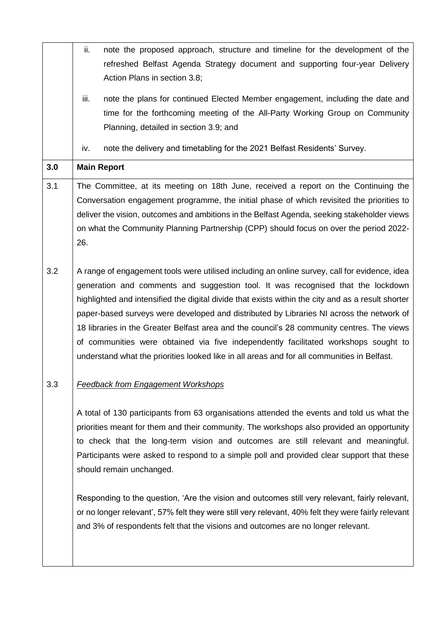|     | ii.<br>note the proposed approach, structure and timeline for the development of the<br>refreshed Belfast Agenda Strategy document and supporting four-year Delivery<br>Action Plans in section 3.8;                                                                                                                                                                                                                                                                                                                                                                                                                                                                    |
|-----|-------------------------------------------------------------------------------------------------------------------------------------------------------------------------------------------------------------------------------------------------------------------------------------------------------------------------------------------------------------------------------------------------------------------------------------------------------------------------------------------------------------------------------------------------------------------------------------------------------------------------------------------------------------------------|
|     | iii.<br>note the plans for continued Elected Member engagement, including the date and<br>time for the forthcoming meeting of the All-Party Working Group on Community<br>Planning, detailed in section 3.9; and                                                                                                                                                                                                                                                                                                                                                                                                                                                        |
|     | note the delivery and timetabling for the 2021 Belfast Residents' Survey.<br>iv.                                                                                                                                                                                                                                                                                                                                                                                                                                                                                                                                                                                        |
| 3.0 | <b>Main Report</b>                                                                                                                                                                                                                                                                                                                                                                                                                                                                                                                                                                                                                                                      |
| 3.1 | The Committee, at its meeting on 18th June, received a report on the Continuing the<br>Conversation engagement programme, the initial phase of which revisited the priorities to<br>deliver the vision, outcomes and ambitions in the Belfast Agenda, seeking stakeholder views<br>on what the Community Planning Partnership (CPP) should focus on over the period 2022-<br>26.                                                                                                                                                                                                                                                                                        |
| 3.2 | A range of engagement tools were utilised including an online survey, call for evidence, idea<br>generation and comments and suggestion tool. It was recognised that the lockdown<br>highlighted and intensified the digital divide that exists within the city and as a result shorter<br>paper-based surveys were developed and distributed by Libraries NI across the network of<br>18 libraries in the Greater Belfast area and the council's 28 community centres. The views<br>of communities were obtained via five independently facilitated workshops sought to<br>understand what the priorities looked like in all areas and for all communities in Belfast. |
| 3.3 | <b>Feedback from Engagement Workshops</b>                                                                                                                                                                                                                                                                                                                                                                                                                                                                                                                                                                                                                               |
|     | A total of 130 participants from 63 organisations attended the events and told us what the<br>priorities meant for them and their community. The workshops also provided an opportunity<br>to check that the long-term vision and outcomes are still relevant and meaningful.<br>Participants were asked to respond to a simple poll and provided clear support that these<br>should remain unchanged.                                                                                                                                                                                                                                                                  |
|     | Responding to the question, 'Are the vision and outcomes still very relevant, fairly relevant,<br>or no longer relevant', 57% felt they were still very relevant, 40% felt they were fairly relevant<br>and 3% of respondents felt that the visions and outcomes are no longer relevant.                                                                                                                                                                                                                                                                                                                                                                                |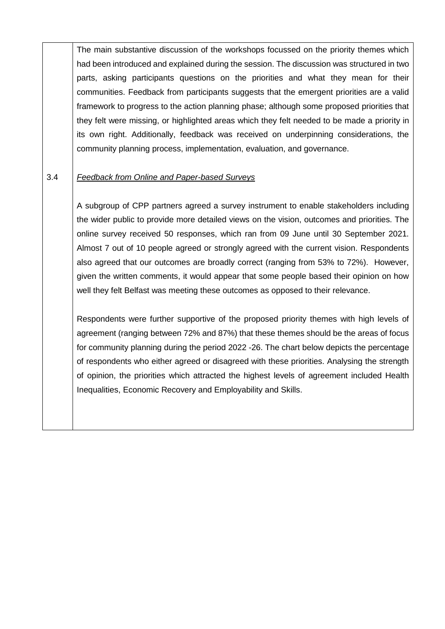The main substantive discussion of the workshops focussed on the priority themes which had been introduced and explained during the session. The discussion was structured in two parts, asking participants questions on the priorities and what they mean for their communities. Feedback from participants suggests that the emergent priorities are a valid framework to progress to the action planning phase; although some proposed priorities that they felt were missing, or highlighted areas which they felt needed to be made a priority in its own right. Additionally, feedback was received on underpinning considerations, the community planning process, implementation, evaluation, and governance.

#### 3.4 *Feedback from Online and Paper-based Surveys*

A subgroup of CPP partners agreed a survey instrument to enable stakeholders including the wider public to provide more detailed views on the vision, outcomes and priorities. The online survey received 50 responses, which ran from 09 June until 30 September 2021. Almost 7 out of 10 people agreed or strongly agreed with the current vision. Respondents also agreed that our outcomes are broadly correct (ranging from 53% to 72%). However, given the written comments, it would appear that some people based their opinion on how well they felt Belfast was meeting these outcomes as opposed to their relevance.

Respondents were further supportive of the proposed priority themes with high levels of agreement (ranging between 72% and 87%) that these themes should be the areas of focus for community planning during the period 2022 -26. The chart below depicts the percentage of respondents who either agreed or disagreed with these priorities. Analysing the strength of opinion, the priorities which attracted the highest levels of agreement included Health Inequalities, Economic Recovery and Employability and Skills.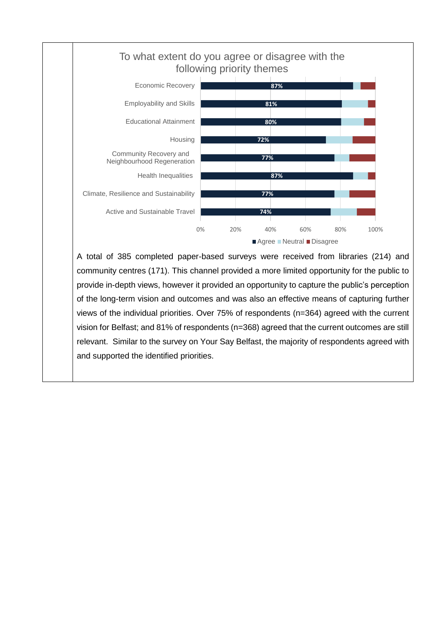

A total of 385 completed paper-based surveys were received from libraries (214) and community centres (171). This channel provided a more limited opportunity for the public to provide in-depth views, however it provided an opportunity to capture the public's perception of the long-term vision and outcomes and was also an effective means of capturing further views of the individual priorities. Over 75% of respondents (n=364) agreed with the current vision for Belfast; and 81% of respondents (n=368) agreed that the current outcomes are still relevant. Similar to the survey on Your Say Belfast, the majority of respondents agreed with and supported the identified priorities.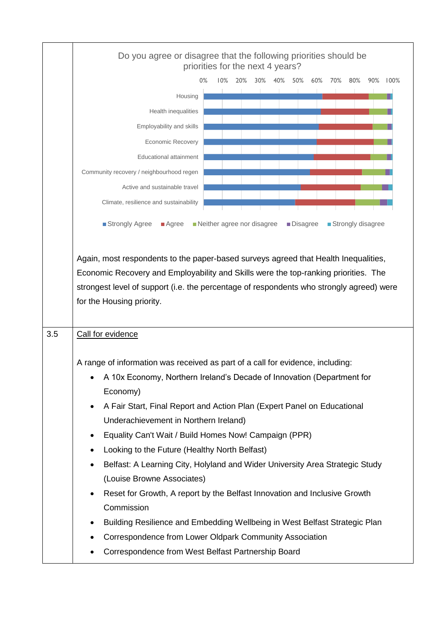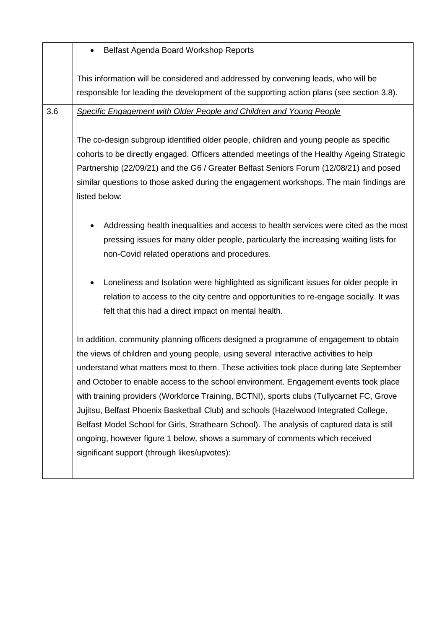|     | Belfast Agenda Board Workshop Reports                                                                                                                                                                                                                                                                                                                                                                                                                                                                                                                                                                                                                                                                                                                                             |
|-----|-----------------------------------------------------------------------------------------------------------------------------------------------------------------------------------------------------------------------------------------------------------------------------------------------------------------------------------------------------------------------------------------------------------------------------------------------------------------------------------------------------------------------------------------------------------------------------------------------------------------------------------------------------------------------------------------------------------------------------------------------------------------------------------|
|     | This information will be considered and addressed by convening leads, who will be<br>responsible for leading the development of the supporting action plans (see section 3.8).                                                                                                                                                                                                                                                                                                                                                                                                                                                                                                                                                                                                    |
| 3.6 | Specific Engagement with Older People and Children and Young People<br>The co-design subgroup identified older people, children and young people as specific<br>cohorts to be directly engaged. Officers attended meetings of the Healthy Ageing Strategic<br>Partnership (22/09/21) and the G6 / Greater Belfast Seniors Forum (12/08/21) and posed<br>similar questions to those asked during the engagement workshops. The main findings are<br>listed below:                                                                                                                                                                                                                                                                                                                  |
|     | Addressing health inequalities and access to health services were cited as the most<br>pressing issues for many older people, particularly the increasing waiting lists for<br>non-Covid related operations and procedures.<br>Loneliness and Isolation were highlighted as significant issues for older people in<br>relation to access to the city centre and opportunities to re-engage socially. It was<br>felt that this had a direct impact on mental health.                                                                                                                                                                                                                                                                                                               |
|     | In addition, community planning officers designed a programme of engagement to obtain<br>the views of children and young people, using several interactive activities to help<br>understand what matters most to them. These activities took place during late September<br>and October to enable access to the school environment. Engagement events took place<br>with training providers (Workforce Training, BCTNI), sports clubs (Tullycarnet FC, Grove<br>Jujitsu, Belfast Phoenix Basketball Club) and schools (Hazelwood Integrated College,<br>Belfast Model School for Girls, Strathearn School). The analysis of captured data is still<br>ongoing, however figure 1 below, shows a summary of comments which received<br>significant support (through likes/upvotes): |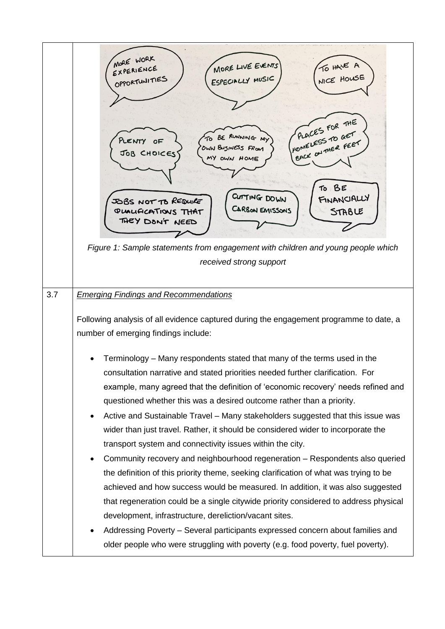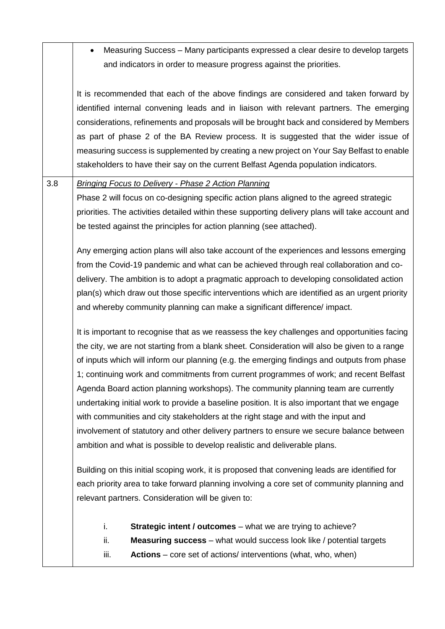|     | Measuring Success – Many participants expressed a clear desire to develop targets<br>and indicators in order to measure progress against the priorities.                                                                                                                                                                                                                                                                                                                                                                                                                                                                                                                                                                                                                                                                                  |
|-----|-------------------------------------------------------------------------------------------------------------------------------------------------------------------------------------------------------------------------------------------------------------------------------------------------------------------------------------------------------------------------------------------------------------------------------------------------------------------------------------------------------------------------------------------------------------------------------------------------------------------------------------------------------------------------------------------------------------------------------------------------------------------------------------------------------------------------------------------|
|     | It is recommended that each of the above findings are considered and taken forward by<br>identified internal convening leads and in liaison with relevant partners. The emerging<br>considerations, refinements and proposals will be brought back and considered by Members<br>as part of phase 2 of the BA Review process. It is suggested that the wider issue of<br>measuring success is supplemented by creating a new project on Your Say Belfast to enable<br>stakeholders to have their say on the current Belfast Agenda population indicators.                                                                                                                                                                                                                                                                                  |
| 3.8 | <b>Bringing Focus to Delivery - Phase 2 Action Planning</b><br>Phase 2 will focus on co-designing specific action plans aligned to the agreed strategic<br>priorities. The activities detailed within these supporting delivery plans will take account and<br>be tested against the principles for action planning (see attached).                                                                                                                                                                                                                                                                                                                                                                                                                                                                                                       |
|     | Any emerging action plans will also take account of the experiences and lessons emerging<br>from the Covid-19 pandemic and what can be achieved through real collaboration and co-<br>delivery. The ambition is to adopt a pragmatic approach to developing consolidated action<br>plan(s) which draw out those specific interventions which are identified as an urgent priority<br>and whereby community planning can make a significant difference/ impact.                                                                                                                                                                                                                                                                                                                                                                            |
|     | It is important to recognise that as we reassess the key challenges and opportunities facing<br>the city, we are not starting from a blank sheet. Consideration will also be given to a range<br>of inputs which will inform our planning (e.g. the emerging findings and outputs from phase<br>1; continuing work and commitments from current programmes of work; and recent Belfast<br>Agenda Board action planning workshops). The community planning team are currently<br>undertaking initial work to provide a baseline position. It is also important that we engage<br>with communities and city stakeholders at the right stage and with the input and<br>involvement of statutory and other delivery partners to ensure we secure balance between<br>ambition and what is possible to develop realistic and deliverable plans. |
|     | Building on this initial scoping work, it is proposed that convening leads are identified for<br>each priority area to take forward planning involving a core set of community planning and<br>relevant partners. Consideration will be given to:                                                                                                                                                                                                                                                                                                                                                                                                                                                                                                                                                                                         |
|     | i.<br><b>Strategic intent / outcomes</b> – what we are trying to achieve?<br>ii.<br><b>Measuring success</b> – what would success look like / potential targets<br>Actions - core set of actions/ interventions (what, who, when)<br>iii.                                                                                                                                                                                                                                                                                                                                                                                                                                                                                                                                                                                                 |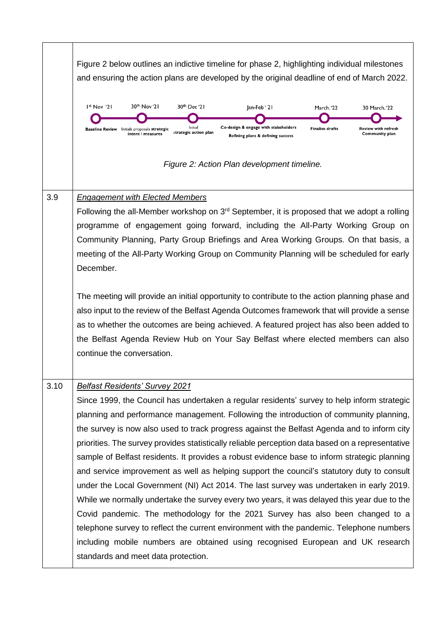|      | Figure 2 below outlines an indictive timeline for phase 2, highlighting individual milestones<br>and ensuring the action plans are developed by the original deadline of end of March 2022.                                                                                                                                                                                                                                                                                                                                                                                                                                                                                                                                                                                                                                                                                                                                                                                                                                                                                                                                       |
|------|-----------------------------------------------------------------------------------------------------------------------------------------------------------------------------------------------------------------------------------------------------------------------------------------------------------------------------------------------------------------------------------------------------------------------------------------------------------------------------------------------------------------------------------------------------------------------------------------------------------------------------------------------------------------------------------------------------------------------------------------------------------------------------------------------------------------------------------------------------------------------------------------------------------------------------------------------------------------------------------------------------------------------------------------------------------------------------------------------------------------------------------|
|      | 30 <sup>th</sup> Nov '21<br>I <sup>st</sup> Nov '2I<br>30 <sup>th</sup> Dec '21<br>an-Feb'21<br>March. '22<br>30 March.'22<br>Co-design & engage with stakeholders<br>Initial<br><b>Finalise drafts</b><br>Review with refresh<br><b>Baseline Review</b> Initials proposals strategic<br>strategic action plan<br>intent / measures<br>Community plan<br>Refining plans & defining success                                                                                                                                                                                                                                                                                                                                                                                                                                                                                                                                                                                                                                                                                                                                        |
|      | Figure 2: Action Plan development timeline.                                                                                                                                                                                                                                                                                                                                                                                                                                                                                                                                                                                                                                                                                                                                                                                                                                                                                                                                                                                                                                                                                       |
| 3.9  | <b>Engagement with Elected Members</b><br>Following the all-Member workshop on 3 <sup>rd</sup> September, it is proposed that we adopt a rolling<br>programme of engagement going forward, including the All-Party Working Group on<br>Community Planning, Party Group Briefings and Area Working Groups. On that basis, a<br>meeting of the All-Party Working Group on Community Planning will be scheduled for early<br>December.                                                                                                                                                                                                                                                                                                                                                                                                                                                                                                                                                                                                                                                                                               |
|      | The meeting will provide an initial opportunity to contribute to the action planning phase and<br>also input to the review of the Belfast Agenda Outcomes framework that will provide a sense<br>as to whether the outcomes are being achieved. A featured project has also been added to<br>the Belfast Agenda Review Hub on Your Say Belfast where elected members can also<br>continue the conversation.                                                                                                                                                                                                                                                                                                                                                                                                                                                                                                                                                                                                                                                                                                                       |
| 3.10 | <b>Belfast Residents' Survey 2021</b><br>Since 1999, the Council has undertaken a regular residents' survey to help inform strategic<br>planning and performance management. Following the introduction of community planning,<br>the survey is now also used to track progress against the Belfast Agenda and to inform city<br>priorities. The survey provides statistically reliable perception data based on a representative<br>sample of Belfast residents. It provides a robust evidence base to inform strategic planning<br>and service improvement as well as helping support the council's statutory duty to consult<br>under the Local Government (NI) Act 2014. The last survey was undertaken in early 2019.<br>While we normally undertake the survey every two years, it was delayed this year due to the<br>Covid pandemic. The methodology for the 2021 Survey has also been changed to a<br>telephone survey to reflect the current environment with the pandemic. Telephone numbers<br>including mobile numbers are obtained using recognised European and UK research<br>standards and meet data protection. |

 $\mathsf{r}$